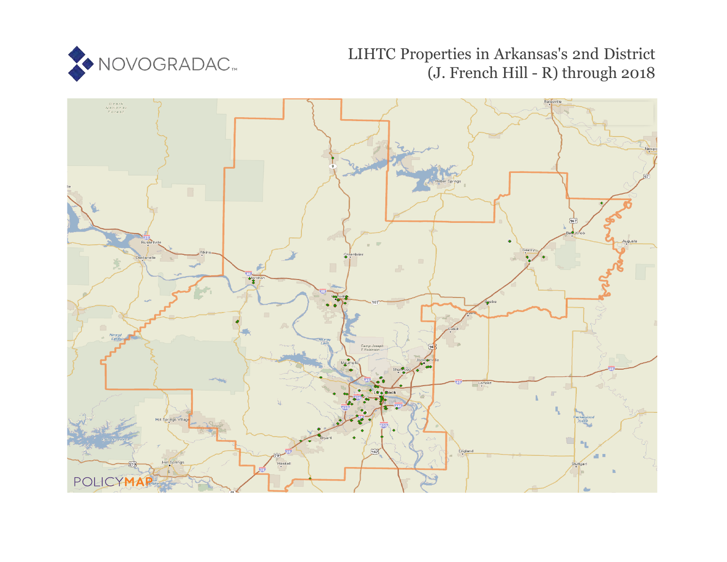

# LIHTC Properties in Arkansas's 2nd District (J. French Hill - R) through 2018

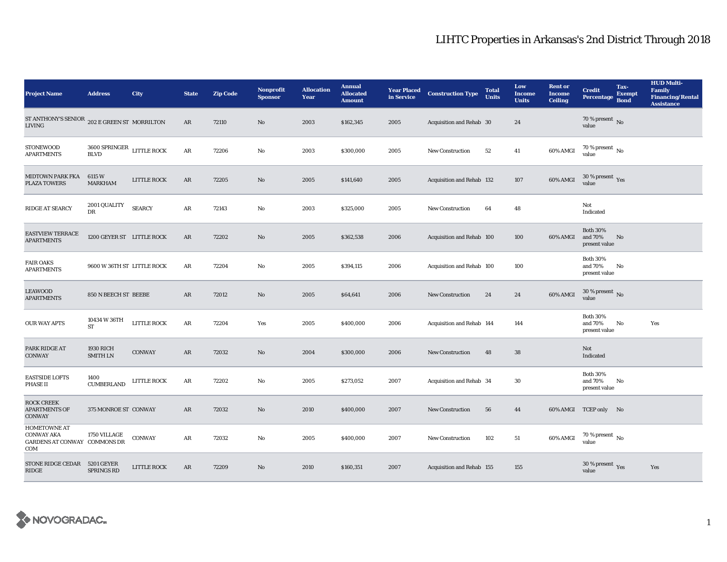| <b>Project Name</b>                                                             | <b>Address</b>                                  | City               | <b>State</b> | <b>Zip Code</b> | <b>Nonprofit</b><br><b>Sponsor</b> | <b>Allocation</b><br>Year | <b>Annual</b><br><b>Allocated</b><br><b>Amount</b> | <b>Year Placed</b><br>in Service | <b>Construction Type</b>  | <b>Total</b><br><b>Units</b> | Low<br>Income<br><b>Units</b> | <b>Rent</b> or<br><b>Income</b><br><b>Ceiling</b> | <b>Credit</b><br><b>Percentage</b>            | Tax-<br><b>Exempt</b><br><b>Bond</b> | <b>HUD Multi-</b><br><b>Family</b><br><b>Financing/Rental</b><br><b>Assistance</b> |
|---------------------------------------------------------------------------------|-------------------------------------------------|--------------------|--------------|-----------------|------------------------------------|---------------------------|----------------------------------------------------|----------------------------------|---------------------------|------------------------------|-------------------------------|---------------------------------------------------|-----------------------------------------------|--------------------------------------|------------------------------------------------------------------------------------|
| ST ANTHONY'S SENIOR $\,$ 202 E GREEN ST $\,$ MORRILTON<br>LIVING                |                                                 |                    | AR           | 72110           | $\mathbf{N}\mathbf{o}$             | 2003                      | \$162,345                                          | 2005                             | Acquisition and Rehab 30  |                              | 24                            |                                                   | 70 % present $\,$ No $\,$<br>value            |                                      |                                                                                    |
| <b>STONEWOOD</b><br><b>APARTMENTS</b>                                           | $3600$ SPRINGER $\;$ LITTLE ROCK<br><b>BLVD</b> |                    | $\rm{AR}$    | 72206           | $\mathbf{No}$                      | 2003                      | \$300,000                                          | 2005                             | <b>New Construction</b>   | 52                           | $\bf 41$                      | 60% AMGI                                          | 70 % present $\,$ No $\,$<br>value            |                                      |                                                                                    |
| <b>MIDTOWN PARK FKA</b><br><b>PLAZA TOWERS</b>                                  | 6115 W<br>MARKHAM                               | <b>LITTLE ROCK</b> | AR           | 72205           | No                                 | 2005                      | \$141,640                                          | 2005                             | Acquisition and Rehab 132 |                              | 107                           | 60% AMGI                                          | $30\ \%$ present $\ \ \gamma_{\rm e s}$ value |                                      |                                                                                    |
| RIDGE AT SEARCY                                                                 | 2001 QUALITY<br>DR                              | <b>SEARCY</b>      | ${\bf AR}$   | 72143           | No                                 | 2003                      | \$325,000                                          | 2005                             | New Construction          | 64                           | 48                            |                                                   | Not<br>Indicated                              |                                      |                                                                                    |
| <b>EASTVIEW TERRACE</b><br><b>APARTMENTS</b>                                    | 1200 GEYER ST LITTLE ROCK                       |                    | $\rm{AR}$    | 72202           | No                                 | 2005                      | \$362,538                                          | 2006                             | Acquisition and Rehab 100 |                              | 100                           | 60% AMGI                                          | <b>Both 30%</b><br>and 70%<br>present value   | No                                   |                                                                                    |
| <b>FAIR OAKS</b><br><b>APARTMENTS</b>                                           | 9600 W 36TH ST LITTLE ROCK                      |                    | AR           | 72204           | No                                 | 2005                      | \$394,115                                          | 2006                             | Acquisition and Rehab 100 |                              | 100                           |                                                   | <b>Both 30%</b><br>and 70%<br>present value   | No                                   |                                                                                    |
| <b>LEAWOOD</b><br><b>APARTMENTS</b>                                             | 850 N BEECH ST BEEBE                            |                    | AR           | 72012           | No                                 | 2005                      | \$64,641                                           | 2006                             | <b>New Construction</b>   | 24                           | 24                            | 60% AMGI                                          | $30$ % present $\,$ No $\,$<br>value          |                                      |                                                                                    |
| <b>OUR WAY APTS</b>                                                             | 10434 W 36TH<br>ST                              | LITTLE ROCK        | ${\bf AR}$   | 72204           | Yes                                | 2005                      | \$400,000                                          | 2006                             | Acquisition and Rehab 144 |                              | 144                           |                                                   | <b>Both 30%</b><br>and 70%<br>present value   | No                                   | Yes                                                                                |
| PARK RIDGE AT<br><b>CONWAY</b>                                                  | <b>1930 RICH</b><br><b>SMITH LN</b>             | <b>CONWAY</b>      | AR           | 72032           | No                                 | 2004                      | \$300,000                                          | 2006                             | New Construction          | 48                           | 38                            |                                                   | Not<br>Indicated                              |                                      |                                                                                    |
| <b>EASTSIDE LOFTS</b><br><b>PHASE II</b>                                        | 1400<br><b>CUMBERLAND</b>                       | <b>LITTLE ROCK</b> | AR           | 72202           | No                                 | 2005                      | \$273,052                                          | 2007                             | Acquisition and Rehab 34  |                              | 30                            |                                                   | <b>Both 30%</b><br>and 70%<br>present value   | No                                   |                                                                                    |
| <b>ROCK CREEK</b><br><b>APARTMENTS OF</b><br><b>CONWAY</b>                      | 375 MONROE ST CONWAY                            |                    | AR           | 72032           | No                                 | 2010                      | \$400,000                                          | 2007                             | <b>New Construction</b>   | 56                           | 44                            |                                                   | 60% AMGI TCEP only No                         |                                      |                                                                                    |
| <b>HOMETOWNE AT</b><br><b>CONWAY AKA</b><br>GARDENS AT CONWAY COMMONS DR<br>COM | 1750 VILLAGE                                    | CONWAY             | AR           | 72032           | No                                 | 2005                      | \$400,000                                          | 2007                             | <b>New Construction</b>   | 102                          | 51                            | 60% AMGI                                          | 70 % present $\,$ No $\,$<br>value            |                                      |                                                                                    |
| STONE RIDGE CEDAR 5201 GEYER<br>RIDGE                                           | <b>SPRINGS RD</b>                               | LITTLE ROCK        | AR           | 72209           | No                                 | 2010                      | \$160,351                                          | 2007                             | Acquisition and Rehab 155 |                              | 155                           |                                                   | 30 % present Yes<br>value                     |                                      | Yes                                                                                |

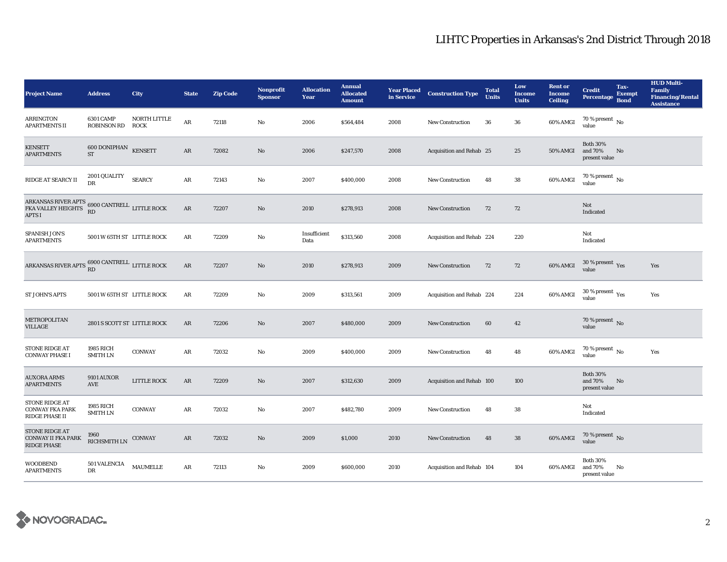| <b>Project Name</b>                                                                                                                            | <b>Address</b>                              | City                        | <b>State</b> | <b>Zip Code</b> | <b>Nonprofit</b><br><b>Sponsor</b> | <b>Allocation</b><br>Year | <b>Annual</b><br><b>Allocated</b><br><b>Amount</b> | <b>Year Placed<br/>in Service</b> | <b>Construction Type</b>  | <b>Total</b><br><b>Units</b> | Low<br><b>Income</b><br><b>Units</b> | <b>Rent or</b><br><b>Income</b><br><b>Ceiling</b> | <b>Credit</b><br><b>Percentage</b>          | Tax-<br><b>Exempt</b><br><b>Bond</b> | <b>HUD Multi-</b><br><b>Family</b><br><b>Financing/Rental</b><br><b>Assistance</b> |
|------------------------------------------------------------------------------------------------------------------------------------------------|---------------------------------------------|-----------------------------|--------------|-----------------|------------------------------------|---------------------------|----------------------------------------------------|-----------------------------------|---------------------------|------------------------------|--------------------------------------|---------------------------------------------------|---------------------------------------------|--------------------------------------|------------------------------------------------------------------------------------|
| <b>ARRINGTON</b><br><b>APARTMENTS II</b>                                                                                                       | <b>6301 CAMP</b><br><b>ROBINSON RD</b>      | NORTH LITTLE<br><b>ROCK</b> | $\rm{AR}$    | 72118           | No                                 | 2006                      | \$564,484                                          | 2008                              | <b>New Construction</b>   | 36                           | 36                                   | 60% AMGI                                          | 70 % present $\,$ No $\,$<br>value          |                                      |                                                                                    |
| <b>KENSETT</b><br><b>APARTMENTS</b>                                                                                                            | 600 DONIPHAN KENSETT<br>$\operatorname{ST}$ |                             | AR           | 72082           | $\mathbf{N}\mathbf{o}$             | 2006                      | \$247,570                                          | 2008                              | Acquisition and Rehab 25  |                              | 25                                   | <b>50% AMGI</b>                                   | <b>Both 30%</b><br>and 70%<br>present value | No                                   |                                                                                    |
| RIDGE AT SEARCY II                                                                                                                             | 2001 QUALITY<br><b>DR</b>                   | <b>SEARCY</b>               | AR           | 72143           | No                                 | 2007                      | \$400,000                                          | 2008                              | <b>New Construction</b>   | 48                           | ${\bf 38}$                           | 60% AMGI                                          | $70$ % present $\,$ No value                |                                      |                                                                                    |
| ARKANSAS RIVER APTS $\begin{array}{ll} 6900 \text{ CANTREL} \\ \text{FKA VALLEY HEIGHTS \\ \text{RD} \end{array}$ LITTLE ROCK<br><b>APTS I</b> |                                             |                             | AR           | 72207           | No                                 | 2010                      | \$278,913                                          | 2008                              | <b>New Construction</b>   | 72                           | 72                                   |                                                   | Not<br>Indicated                            |                                      |                                                                                    |
| SPANISH JON'S<br><b>APARTMENTS</b>                                                                                                             | 5001 W 65TH ST LITTLE ROCK                  |                             | AR           | 72209           | No                                 | Insufficient<br>Data      | \$313,560                                          | 2008                              | Acquisition and Rehab 224 |                              | 220                                  |                                                   | Not<br>Indicated                            |                                      |                                                                                    |
| ARKANSAS RIVER APTS 6900 CANTRELL LITTLE ROCK                                                                                                  |                                             |                             | AR           | 72207           | No                                 | 2010                      | \$278,913                                          | 2009                              | <b>New Construction</b>   | 72                           | 72                                   | 60% AMGI                                          | $30\,\%$ present $\,\mathrm{Yes}$ value     |                                      | Yes                                                                                |
| <b>ST JOHN'S APTS</b>                                                                                                                          | 5001 W 65TH ST LITTLE ROCK                  |                             | AR           | 72209           | No                                 | 2009                      | \$313,561                                          | 2009                              | Acquisition and Rehab 224 |                              | 224                                  | 60% AMGI                                          | $30\,\%$ present $\,$ $\rm Yes$<br>value    |                                      | Yes                                                                                |
| METROPOLITAN<br>VILLAGE                                                                                                                        | 2801 S SCOTT ST LITTLE ROCK                 |                             | AR           | 72206           | No                                 | 2007                      | \$480,000                                          | 2009                              | <b>New Construction</b>   | 60                           | 42                                   |                                                   | 70 % present $\hbox{No}$<br>value           |                                      |                                                                                    |
| <b>STONE RIDGE AT</b><br><b>CONWAY PHASE I</b>                                                                                                 | 1985 RICH<br><b>SMITH LN</b>                | <b>CONWAY</b>               | AR           | 72032           | No                                 | 2009                      | \$400,000                                          | 2009                              | <b>New Construction</b>   | 48                           | 48                                   | 60% AMGI                                          | 70 % present $\overline{N_0}$<br>value      |                                      | Yes                                                                                |
| <b>AUXORA ARMS</b><br><b>APARTMENTS</b>                                                                                                        | <b>9101 AUXOR</b><br>AVE                    | <b>LITTLE ROCK</b>          | $\rm{AR}$    | 72209           | No                                 | 2007                      | \$312,630                                          | 2009                              | Acquisition and Rehab 100 |                              | 100                                  |                                                   | <b>Both 30%</b><br>and 70%<br>present value | No                                   |                                                                                    |
| <b>STONE RIDGE AT</b><br><b>CONWAY FKA PARK</b><br>RIDGE PHASE II                                                                              | 1985 RICH<br><b>SMITH LN</b>                | <b>CONWAY</b>               | AR           | 72032           | No                                 | 2007                      | \$482,780                                          | 2009                              | <b>New Construction</b>   | 48                           | 38                                   |                                                   | Not<br>Indicated                            |                                      |                                                                                    |
| STONE RIDGE AT<br><b>CONWAY II FKA PARK</b><br><b>RIDGE PHASE</b>                                                                              | 1960<br>RICHSMITH LN                        | CONWAY                      | AR           | 72032           | No                                 | 2009                      | \$1,000                                            | 2010                              | <b>New Construction</b>   | 48                           | 38                                   | 60% AMGI                                          | $70\,\%$ present $\,$ No value              |                                      |                                                                                    |
| <b>WOODBEND</b><br><b>APARTMENTS</b>                                                                                                           | 501 VALENCIA<br>DR                          | <b>MAUMELLE</b>             | AR           | 72113           | No                                 | 2009                      | \$600,000                                          | 2010                              | Acquisition and Rehab 104 |                              | 104                                  | 60% AMGI                                          | <b>Both 30%</b><br>and 70%<br>present value | No                                   |                                                                                    |

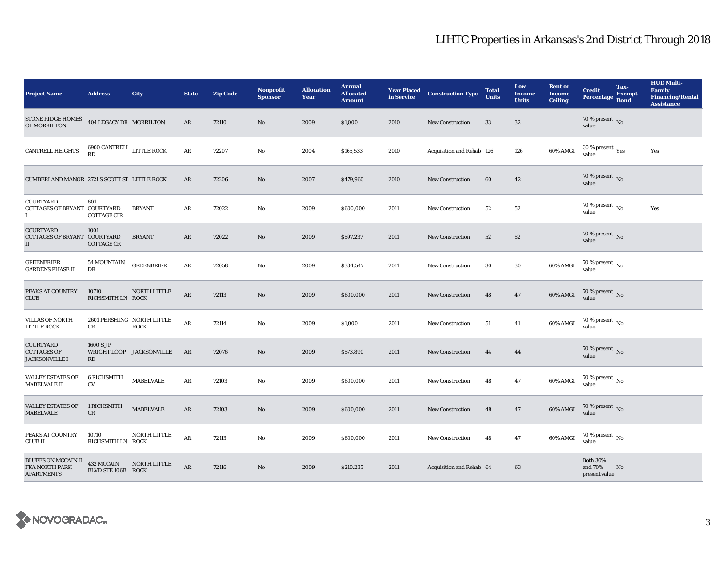| <b>Project Name</b>                                               | <b>Address</b>                           | City                     | <b>State</b> | <b>Zip Code</b> | <b>Nonprofit</b><br><b>Sponsor</b> | <b>Allocation</b><br>Year | <b>Annual</b><br><b>Allocated</b><br><b>Amount</b> | <b>Year Placed</b><br>in Service | <b>Construction Type</b>  | <b>Total</b><br><b>Units</b> | Low<br><b>Income</b><br><b>Units</b> | <b>Rent or</b><br><b>Income</b><br><b>Ceiling</b> | <b>Credit</b><br><b>Percentage</b>          | Tax-<br><b>Exempt</b><br><b>Bond</b> | <b>HUD Multi-</b><br><b>Family</b><br><b>Financing/Rental</b><br><b>Assistance</b> |
|-------------------------------------------------------------------|------------------------------------------|--------------------------|--------------|-----------------|------------------------------------|---------------------------|----------------------------------------------------|----------------------------------|---------------------------|------------------------------|--------------------------------------|---------------------------------------------------|---------------------------------------------|--------------------------------------|------------------------------------------------------------------------------------|
| <b>STONE RIDGE HOMES</b><br>OF MORRILTON                          | 404 LEGACY DR MORRILTON                  |                          | AR           | 72110           | No                                 | 2009                      | \$1,000                                            | 2010                             | <b>New Construction</b>   | 33                           | $32\,$                               |                                                   | 70 % present $\overline{N_0}$<br>value      |                                      |                                                                                    |
| <b>CANTRELL HEIGHTS</b>                                           | $6900$ CANTRELL $\:$ LITTLE ROCK $\,$ RD |                          | ${\bf AR}$   | 72207           | No                                 | 2004                      | \$165,533                                          | 2010                             | Acquisition and Rehab 126 |                              | 126                                  | 60% AMGI                                          | $30$ % present $\,$ $\rm Yes$<br>value      |                                      | Yes                                                                                |
| CUMBERLAND MANOR 2721 S SCOTT ST LITTLE ROCK                      |                                          |                          | AR           | 72206           | $\mathbf{N}\mathbf{o}$             | 2007                      | \$479,960                                          | 2010                             | <b>New Construction</b>   | 60                           | $\bf{42}$                            |                                                   | $70$ % present $\,$ No value                |                                      |                                                                                    |
| COURTYARD<br>COTTAGES OF BRYANT COURTYARD<br>Ι.                   | 601<br><b>COTTAGE CIR</b>                | <b>BRYANT</b>            | AR           | 72022           | No                                 | 2009                      | \$600,000                                          | 2011                             | New Construction          | 52                           | 52                                   |                                                   | 70 % present $\hbox{~No}$<br>value          |                                      | Yes                                                                                |
| <b>COURTYARD</b><br>COTTAGES OF BRYANT COURTYARD<br>$\mathbf{I}$  | 1001<br><b>COTTAGE CR</b>                | <b>BRYANT</b>            | AR           | 72022           | No                                 | 2009                      | \$597,237                                          | 2011                             | <b>New Construction</b>   | 52                           | 52                                   |                                                   | $70$ % present $\,$ No value                |                                      |                                                                                    |
| <b>GREENBRIER</b><br><b>GARDENS PHASE II</b>                      | 54 MOUNTAIN<br>DR                        | <b>GREENBRIER</b>        | AR           | 72058           | No                                 | 2009                      | \$304,547                                          | 2011                             | <b>New Construction</b>   | 30                           | 30                                   | 60% AMGI                                          | $70$ % present $\,$ No $\,$<br>value        |                                      |                                                                                    |
| PEAKS AT COUNTRY<br><b>CLUB</b>                                   | 10710<br>RICHSMITH LN ROCK               | NORTH LITTLE             | AR           | 72113           | No                                 | 2009                      | \$600,000                                          | 2011                             | <b>New Construction</b>   | 48                           | 47                                   | 60% AMGI                                          | 70 % present $\,$ No $\,$<br>value          |                                      |                                                                                    |
| <b>VILLAS OF NORTH</b><br><b>LITTLE ROCK</b>                      | 2601 PERSHING NORTH LITTLE<br>CR         | <b>ROCK</b>              | $\rm{AR}$    | 72114           | No                                 | 2009                      | \$1,000                                            | 2011                             | <b>New Construction</b>   | 51                           | 41                                   | 60% AMGI                                          | 70 % present $\,$ No $\,$<br>value          |                                      |                                                                                    |
| COURTYARD<br><b>COTTAGES OF</b><br><b>JACKSONVILLE I</b>          | 1600 S JP<br>RD                          | WRIGHT LOOP JACKSONVILLE | AR           | 72076           | $\mathbf{No}$                      | 2009                      | \$573,890                                          | 2011                             | New Construction          | 44                           | 44                                   |                                                   | 70 % present $\,$ No $\,$<br>value          |                                      |                                                                                    |
| <b>VALLEY ESTATES OF</b><br>MABELVALE II                          | <b>6 RICHSMITH</b><br><b>CV</b>          | <b>MABELVALE</b>         | ${\bf AR}$   | 72103           | No                                 | 2009                      | \$600,000                                          | 2011                             | <b>New Construction</b>   | 48                           | 47                                   | 60% AMGI                                          | 70 % present $\,$ No $\,$<br>value          |                                      |                                                                                    |
| <b>VALLEY ESTATES OF</b><br><b>MABELVALE</b>                      | 1 RICHSMITH<br>CR                        | <b>MABELVALE</b>         | AR           | 72103           | No                                 | 2009                      | \$600,000                                          | 2011                             | New Construction          | 48                           | 47                                   | 60% AMGI                                          | 70 % present $\,$ No $\,$<br>value          |                                      |                                                                                    |
| PEAKS AT COUNTRY<br><b>CLUB II</b>                                | 10710<br>RICHSMITH LN ROCK               | NORTH LITTLE             | $\rm{AR}$    | 72113           | No                                 | 2009                      | \$600,000                                          | 2011                             | New Construction          | 48                           | 47                                   | 60% AMGI                                          | 70 % present $\,$ No $\,$<br>value          |                                      |                                                                                    |
| <b>BLUFFS ON MCCAIN II</b><br>FKA NORTH PARK<br><b>APARTMENTS</b> | 432 MCCAIN<br>BLVD STE 106B ROCK         | NORTH LITTLE             | AR           | 72116           | No                                 | 2009                      | \$210,235                                          | 2011                             | Acquisition and Rehab 64  |                              | 63                                   |                                                   | <b>Both 30%</b><br>and 70%<br>present value | N <sub>0</sub>                       |                                                                                    |

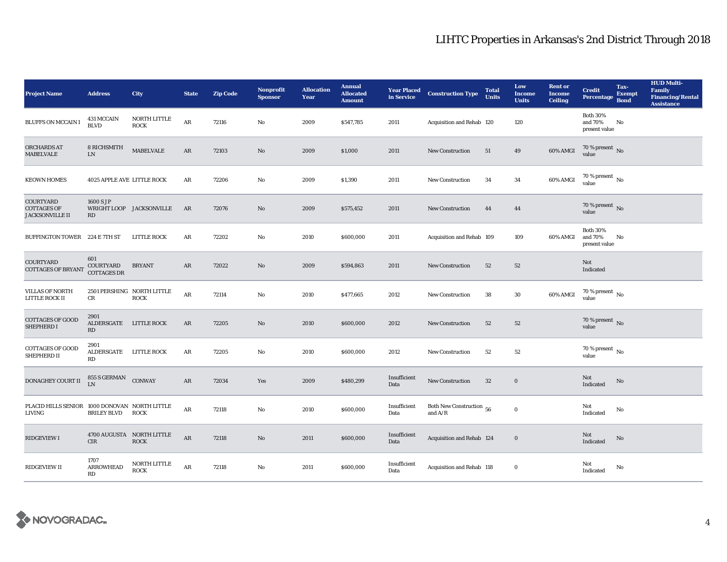| <b>Project Name</b>                                              | <b>Address</b>                         | City                                      | <b>State</b>  | <b>Zip Code</b> | <b>Nonprofit</b><br><b>Sponsor</b> | <b>Allocation</b><br>Year | <b>Annual</b><br><b>Allocated</b><br><b>Amount</b> | in Service           | <b>Year Placed Construction Type</b>  | <b>Total</b><br><b>Units</b> | Low<br><b>Income</b><br><b>Units</b> | <b>Rent or</b><br>Income<br><b>Ceiling</b> | <b>Credit</b><br><b>Percentage</b>          | Tax-<br><b>Exempt</b><br><b>Bond</b> | <b>HUD Multi-</b><br>Family<br><b>Financing/Rental</b><br><b>Assistance</b> |
|------------------------------------------------------------------|----------------------------------------|-------------------------------------------|---------------|-----------------|------------------------------------|---------------------------|----------------------------------------------------|----------------------|---------------------------------------|------------------------------|--------------------------------------|--------------------------------------------|---------------------------------------------|--------------------------------------|-----------------------------------------------------------------------------|
| <b>BLUFFS ON MCCAIN I</b>                                        | <b>431 MCCAIN</b><br><b>BLVD</b>       | NORTH LITTLE<br><b>ROCK</b>               | $\rm{AR}$     | 72116           | No                                 | 2009                      | \$547,785                                          | 2011                 | Acquisition and Rehab 120             |                              | 120                                  |                                            | <b>Both 30%</b><br>and 70%<br>present value | No                                   |                                                                             |
| ORCHARDS AT<br><b>MABELVALE</b>                                  | <b>8 RICHSMITH</b><br>${\rm LN}$       | <b>MABELVALE</b>                          | AR            | 72103           | $\mathbf{N}\mathbf{o}$             | 2009                      | \$1,000                                            | 2011                 | New Construction                      | 51                           | 49                                   | 60% AMGI                                   | $70$ % present $\,$ No value                |                                      |                                                                             |
| <b>KEOWN HOMES</b>                                               | 4025 APPLE AVE LITTLE ROCK             |                                           | AR            | 72206           | No                                 | 2009                      | \$1,390                                            | 2011                 | <b>New Construction</b>               | 34                           | $\bf{34}$                            | 60% AMGI                                   | $70$ % present $\,$ No value                |                                      |                                                                             |
| <b>COURTYARD</b><br><b>COTTAGES OF</b><br><b>JACKSONVILLE II</b> | 1600 S JP<br>RD                        | WRIGHT LOOP JACKSONVILLE                  | AR            | 72076           | $\rm No$                           | 2009                      | \$575,452                                          | 2011                 | New Construction                      | 44                           | 44                                   |                                            | 70 % present $\,$ No $\,$<br>value          |                                      |                                                                             |
| BUFFINGTON TOWER 224 E 7TH ST                                    |                                        | LITTLE ROCK                               | AR            | 72202           | $\mathbf{N}\mathbf{o}$             | 2010                      | \$600,000                                          | 2011                 | Acquisition and Rehab 109             |                              | 109                                  | 60% AMGI                                   | <b>Both 30%</b><br>and 70%<br>present value | No                                   |                                                                             |
| <b>COURTYARD</b><br><b>COTTAGES OF BRYANT</b>                    | 601<br>COURTYARD<br><b>COTTAGES DR</b> | <b>BRYANT</b>                             | AR            | 72022           | $\mathbf{N}\mathbf{o}$             | 2009                      | \$594,863                                          | 2011                 | <b>New Construction</b>               | 52                           | 52                                   |                                            | Not<br>Indicated                            |                                      |                                                                             |
| <b>VILLAS OF NORTH</b><br>LITTLE ROCK II                         | CR                                     | 2501 PERSHING NORTH LITTLE<br><b>ROCK</b> | AR            | 72114           | No                                 | 2010                      | \$477,665                                          | 2012                 | New Construction                      | 38                           | 30                                   | 60% AMGI                                   | 70 % present $\,$ No $\,$<br>value          |                                      |                                                                             |
| <b>COTTAGES OF GOOD</b><br>SHEPHERD I                            | 2901<br>ALDERSGATE LITTLE ROCK<br>RD   |                                           | AR            | 72205           | $\mathbf{N}\mathbf{o}$             | 2010                      | \$600,000                                          | 2012                 | <b>New Construction</b>               | 52                           | ${\bf 52}$                           |                                            | 70 % present $\,$ No $\,$<br>value          |                                      |                                                                             |
| <b>COTTAGES OF GOOD</b><br>SHEPHERD II                           | 2901<br>ALDERSGATE LITTLE ROCK<br>RD   |                                           | AR            | 72205           | No                                 | 2010                      | \$600,000                                          | 2012                 | New Construction                      | 52                           | $52\,$                               |                                            | $70$ % present $\,$ No $\,$<br>value        |                                      |                                                                             |
| DONAGHEY COURT II                                                | 855 S GERMAN CONWAY<br>LN              |                                           | $\mathbf{AR}$ | 72034           | Yes                                | 2009                      | \$480,299                                          | Insufficient<br>Data | <b>New Construction</b>               | $32\,$                       | $\mathbf 0$                          |                                            | Not<br>Indicated                            | No                                   |                                                                             |
| PLACID HILLS SENIOR 1000 DONOVAN NORTH LITTLE<br>LIVING          | <b>BRILEY BLVD</b>                     | <b>ROCK</b>                               | ${\bf AR}$    | 72118           | $\rm No$                           | 2010                      | \$600,000                                          | Insufficient<br>Data | Both New Construction 56<br>and $A/R$ |                              | $\mathbf 0$                          |                                            | Not<br>Indicated                            | No                                   |                                                                             |
| <b>RIDGEVIEW I</b>                                               | <b>CIR</b>                             | 4700 AUGUSTA NORTH LITTLE<br><b>ROCK</b>  | $\rm{AR}$     | 72118           | $\rm No$                           | 2011                      | \$600,000                                          | Insufficient<br>Data | Acquisition and Rehab 124             |                              | $\mathbf 0$                          |                                            | Not<br>Indicated                            | No                                   |                                                                             |
| <b>RIDGEVIEW II</b>                                              | 1707<br><b>ARROWHEAD</b><br>RD         | NORTH LITTLE<br><b>ROCK</b>               | $\mathbf{AR}$ | 72118           | No                                 | 2011                      | \$600,000                                          | Insufficient<br>Data | Acquisition and Rehab 118             |                              | $\bf{0}$                             |                                            | Not<br>Indicated                            | No                                   |                                                                             |

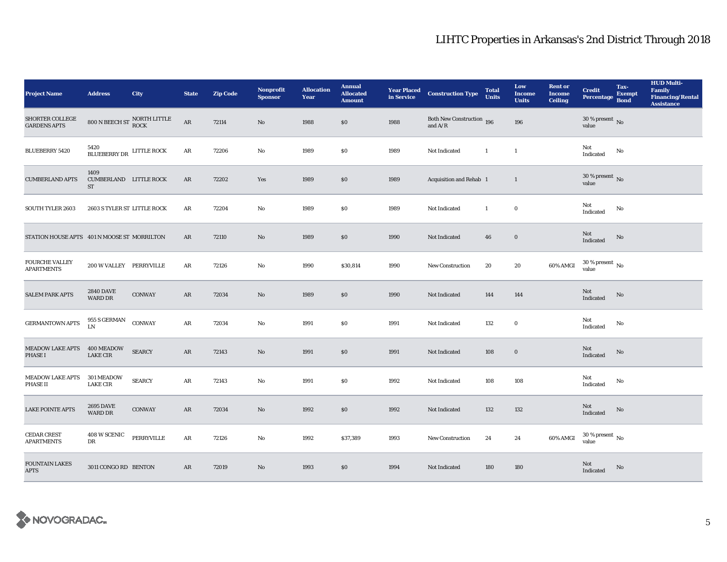| <b>Project Name</b>                           | <b>Address</b>                              | City                                                       | <b>State</b> | <b>Zip Code</b> | Nonprofit<br><b>Sponsor</b> | <b>Allocation</b><br>Year | <b>Annual</b><br><b>Allocated</b><br><b>Amount</b> |      | <b>Year Placed Construction Type</b><br>in Service <b>Construction</b> Type | <b>Total</b><br><b>Units</b> | Low<br><b>Income</b><br><b>Units</b> | <b>Rent or</b><br><b>Income</b><br><b>Ceiling</b> | <b>Credit</b><br><b>Percentage</b> | Tax-<br><b>Exempt</b><br><b>Bond</b> | <b>HUD Multi-</b><br><b>Family</b><br><b>Financing/Rental</b><br><b>Assistance</b> |
|-----------------------------------------------|---------------------------------------------|------------------------------------------------------------|--------------|-----------------|-----------------------------|---------------------------|----------------------------------------------------|------|-----------------------------------------------------------------------------|------------------------------|--------------------------------------|---------------------------------------------------|------------------------------------|--------------------------------------|------------------------------------------------------------------------------------|
| <b>SHORTER COLLEGE</b><br><b>GARDENS APTS</b> |                                             | $800$ N BEECH ST $\frac{\text{NORTH LITILE}}{\text{ROCK}}$ | ${\bf AR}$   | 72114           | $\mathbf{N}\mathbf{o}$      | 1988                      | \$0                                                | 1988 | Both New Construction 196<br>and $A/R$                                      |                              | 196                                  |                                                   | 30 % present $\,$ No $\,$<br>value |                                      |                                                                                    |
| <b>BLUEBERRY 5420</b>                         | BLUEBERRY DR LITTLE ROCK                    |                                                            | $\rm{AR}$    | 72206           | $\mathbf{No}$               | 1989                      | \$0                                                | 1989 | Not Indicated                                                               | $\mathbf{1}$                 | $\mathbf{1}$                         |                                                   | Not<br>Indicated                   | No                                   |                                                                                    |
| <b>CUMBERLAND APTS</b>                        | 1409<br><b>CUMBERLAND LITTLE ROCK</b><br>ST |                                                            | ${\bf AR}$   | 72202           | Yes                         | 1989                      | $\$0$                                              | 1989 | Acquisition and Rehab 1                                                     |                              | $\mathbf{1}$                         |                                                   | $30\,\%$ present $\,$ No value     |                                      |                                                                                    |
| <b>SOUTH TYLER 2603</b>                       | 2603 S TYLER ST LITTLE ROCK                 |                                                            | AR           | 72204           | $\mathbf{N}\mathbf{o}$      | 1989                      | \$0                                                | 1989 | Not Indicated                                                               | $\mathbf{1}$                 | $\bf{0}$                             |                                                   | Not<br>Indicated                   | No                                   |                                                                                    |
| STATION HOUSE APTS 401 N MOOSE ST MORRILTON   |                                             |                                                            | $\rm{AR}$    | 72110           | $\rm No$                    | 1989                      | \$0                                                | 1990 | Not Indicated                                                               | 46                           | $\mathbf 0$                          |                                                   | Not<br>Indicated                   | No                                   |                                                                                    |
| <b>FOURCHE VALLEY</b><br><b>APARTMENTS</b>    | 200 W VALLEY PERRYVILLE                     |                                                            | AR           | 72126           | No                          | 1990                      | \$30,814                                           | 1990 | <b>New Construction</b>                                                     | 20                           | 20                                   | 60% AMGI                                          | $30\,\%$ present $\,$ No value     |                                      |                                                                                    |
| <b>SALEM PARK APTS</b>                        | <b>2840 DAVE</b><br><b>WARD DR</b>          | <b>CONWAY</b>                                              | AR           | 72034           | $\mathbf{N}\mathbf{o}$      | 1989                      | \$0                                                | 1990 | Not Indicated                                                               | 144                          | 144                                  |                                                   | Not<br>Indicated                   | No                                   |                                                                                    |
| <b>GERMANTOWN APTS</b>                        | $955$ S GERMAN ${\rm LN}$                   | <b>CONWAY</b>                                              | ${\bf AR}$   | 72034           | No                          | 1991                      | \$0                                                | 1991 | Not Indicated                                                               | 132                          | $\bf{0}$                             |                                                   | Not<br>Indicated                   | No                                   |                                                                                    |
| <b>MEADOW LAKE APTS</b><br><b>PHASE I</b>     | 400 MEADOW<br><b>LAKE CIR</b>               | <b>SEARCY</b>                                              | AR           | 72143           | $\rm No$                    | 1991                      | \$0                                                | 1991 | Not Indicated                                                               | 108                          | $\bf{0}$                             |                                                   | Not<br>Indicated                   | No                                   |                                                                                    |
| <b>MEADOW LAKE APTS</b><br><b>PHASE II</b>    | 301 MEADOW<br><b>LAKE CIR</b>               | <b>SEARCY</b>                                              | $\rm{AR}$    | 72143           | $\rm No$                    | 1991                      | \$0                                                | 1992 | Not Indicated                                                               | 108                          | 108                                  |                                                   | Not<br>Indicated                   | No                                   |                                                                                    |
| <b>LAKE POINTE APTS</b>                       | <b>2695 DAVE</b><br><b>WARD DR</b>          | <b>CONWAY</b>                                              | AR           | 72034           | $\mathbf{N}\mathbf{o}$      | 1992                      | \$0                                                | 1992 | Not Indicated                                                               | 132                          | 132                                  |                                                   | Not<br>Indicated                   | No                                   |                                                                                    |
| <b>CEDAR CREST</b><br><b>APARTMENTS</b>       | 408 W SCENIC<br>DR                          | PERRYVILLE                                                 | $\rm{AR}$    | 72126           | $\mathbf{No}$               | 1992                      | \$37,389                                           | 1993 | New Construction                                                            | 24                           | 24                                   | 60% AMGI                                          | $30\,\%$ present $\,$ No value     |                                      |                                                                                    |
| <b>FOUNTAIN LAKES</b><br><b>APTS</b>          | 3011 CONGO RD BENTON                        |                                                            | AR           | 72019           | No                          | 1993                      | \$0                                                | 1994 | Not Indicated                                                               | 180                          | 180                                  |                                                   | Not<br>Indicated                   | No                                   |                                                                                    |

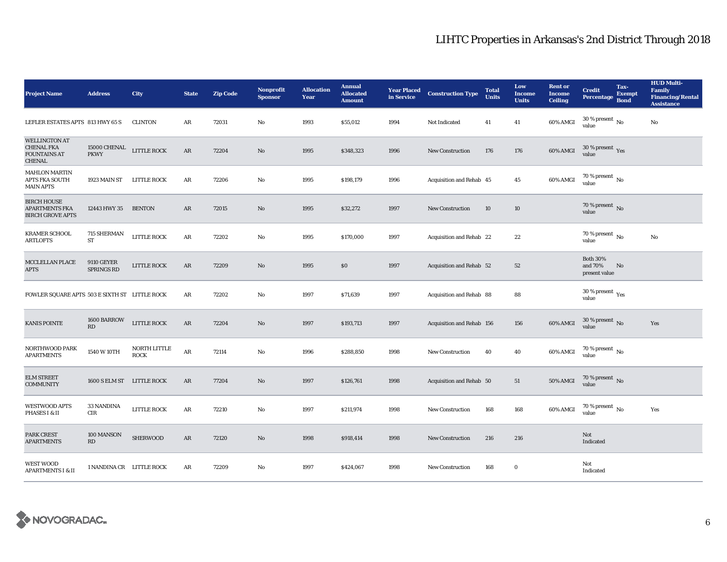| <b>Project Name</b>                                                               | <b>Address</b>                         | City                        | <b>State</b>  | <b>Zip Code</b> | <b>Nonprofit</b><br><b>Sponsor</b> | <b>Allocation</b><br>Year | <b>Annual</b><br><b>Allocated</b><br><b>Amount</b> | <b>Year Placed<br/>in Service</b> | <b>Construction Type</b>  | <b>Total</b><br><b>Units</b> | Low<br><b>Income</b><br><b>Units</b> | <b>Rent or</b><br><b>Income</b><br><b>Ceiling</b> | <b>Credit</b><br><b>Percentage</b>          | Tax-<br><b>Exempt</b><br><b>Bond</b> | <b>HUD Multi-</b><br><b>Family</b><br><b>Financing/Rental</b><br><b>Assistance</b> |
|-----------------------------------------------------------------------------------|----------------------------------------|-----------------------------|---------------|-----------------|------------------------------------|---------------------------|----------------------------------------------------|-----------------------------------|---------------------------|------------------------------|--------------------------------------|---------------------------------------------------|---------------------------------------------|--------------------------------------|------------------------------------------------------------------------------------|
| LEFLER ESTATES APTS 813 HWY 65 S                                                  |                                        | <b>CLINTON</b>              | AR            | 72031           | No                                 | 1993                      | \$55,012                                           | 1994                              | Not Indicated             | 41                           | 41                                   | 60% AMGI                                          | $30$ % present $\,$ No $\,$<br>value        |                                      | No                                                                                 |
| <b>WELLINGTON AT</b><br><b>CHENAL FKA</b><br><b>FOUNTAINS AT</b><br><b>CHENAL</b> | 15000 CHENAL<br>PKWY                   | LITTLE ROCK                 | $\rm{AR}$     | 72204           | No                                 | 1995                      | \$348,323                                          | 1996                              | <b>New Construction</b>   | 176                          | 176                                  | $60\%$ AMGI                                       | $30\,\%$ present $\,$ Yes value             |                                      |                                                                                    |
| <b>MAHLON MARTIN</b><br><b>APTS FKA SOUTH</b><br><b>MAIN APTS</b>                 | 1923 MAIN ST                           | <b>LITTLE ROCK</b>          | AR            | 72206           | No                                 | 1995                      | \$198,179                                          | 1996                              | Acquisition and Rehab 45  |                              | 45                                   | 60% AMGI                                          | $70\,\%$ present $\,$ No value              |                                      |                                                                                    |
| <b>BIRCH HOUSE</b><br><b>APARTMENTS FKA</b><br><b>BIRCH GROVE APTS</b>            | 12443 HWY 35                           | <b>BENTON</b>               | $\rm{AR}$     | 72015           | $\mathbf{No}$                      | 1995                      | \$32,272                                           | 1997                              | <b>New Construction</b>   | 10                           | 10                                   |                                                   | 70 % present $\,$ No $\,$<br>value          |                                      |                                                                                    |
| <b>KRAMER SCHOOL</b><br><b>ARTLOFTS</b>                                           | 715 SHERMAN<br>ST                      | LITTLE ROCK                 | $\rm{AR}$     | 72202           | No                                 | 1995                      | \$170,000                                          | 1997                              | Acquisition and Rehab 22  |                              | 22                                   |                                                   | 70 % present $\,$ No $\,$<br>value          |                                      | No                                                                                 |
| MCCLELLAN PLACE<br><b>APTS</b>                                                    | <b>9110 GEYER</b><br><b>SPRINGS RD</b> | LITTLE ROCK                 | AR            | 72209           | No                                 | 1995                      | \$0                                                | 1997                              | Acquisition and Rehab 52  |                              | 52                                   |                                                   | <b>Both 30%</b><br>and 70%<br>present value | No                                   |                                                                                    |
| FOWLER SQUARE APTS 503 E SIXTH ST LITTLE ROCK                                     |                                        |                             | AR            | 72202           | No                                 | 1997                      | \$71,639                                           | 1997                              | Acquisition and Rehab 88  |                              | 88                                   |                                                   | $30$ % present $\,$ $\rm Yes$<br>value      |                                      |                                                                                    |
| <b>KANIS POINTE</b>                                                               | 1600 BARROW<br>RD                      | LITTLE ROCK                 | $\mathbf{AR}$ | 72204           | No                                 | 1997                      | \$193,713                                          | 1997                              | Acquisition and Rehab 156 |                              | 156                                  | 60% AMGI                                          | $30$ % present $\,$ No $\,$<br>value        |                                      | Yes                                                                                |
| NORTHWOOD PARK<br><b>APARTMENTS</b>                                               | 1540 W 10TH                            | NORTH LITTLE<br><b>ROCK</b> | $\rm{AR}$     | 72114           | No                                 | 1996                      | \$288,850                                          | 1998                              | <b>New Construction</b>   | 40                           | 40                                   | 60% AMGI                                          | $70\,\%$ present $\,$ No value              |                                      |                                                                                    |
| <b>ELM STREET</b><br><b>COMMUNITY</b>                                             | 1600 S ELM ST LITTLE ROCK              |                             | $\rm{AR}$     | 77204           | No                                 | 1997                      | \$126,761                                          | 1998                              | Acquisition and Rehab 50  |                              | 51                                   | 50% AMGI                                          | $70$ % present $\,$ No value                |                                      |                                                                                    |
| <b>WESTWOOD APTS</b><br>PHASES I & II                                             | 33 NANDINA<br>CIR                      | LITTLE ROCK                 | $\rm{AR}$     | 72210           | No                                 | 1997                      | \$211,974                                          | 1998                              | <b>New Construction</b>   | 168                          | 168                                  | 60% AMGI                                          | $70\,\%$ present $\,$ No value              |                                      | Yes                                                                                |
| PARK CREST<br><b>APARTMENTS</b>                                                   | 100 MANSON<br>RD                       | <b>SHERWOOD</b>             | $\rm{AR}$     | 72120           | No                                 | 1998                      | \$918,414                                          | 1998                              | <b>New Construction</b>   | 216                          | 216                                  |                                                   | Not<br>Indicated                            |                                      |                                                                                    |
| <b>WEST WOOD</b><br><b>APARTMENTS I &amp; II</b>                                  | 1 NANDINA CR LITTLE ROCK               |                             | AR            | 72209           | No                                 | 1997                      | \$424,067                                          | 1998                              | <b>New Construction</b>   | 168                          | $\bf{0}$                             |                                                   | Not<br>Indicated                            |                                      |                                                                                    |

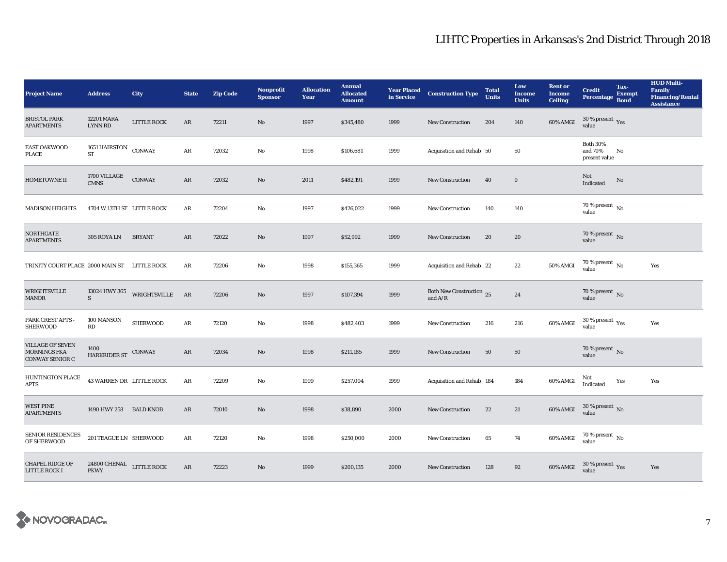| <b>Project Name</b>                                                      | <b>Address</b>                                    | City            | <b>State</b> | <b>Zip Code</b> | <b>Nonprofit</b><br><b>Sponsor</b> | <b>Allocation</b><br>Year | <b>Annual</b><br><b>Allocated</b><br><b>Amount</b> |      | <b>Year Placed Construction Type</b><br>in Service                                              | <b>Total</b><br><b>Units</b> | Low<br><b>Income</b><br><b>Units</b> | <b>Rent or</b><br><b>Income</b><br><b>Ceiling</b> | <b>Credit</b><br><b>Percentage</b>          | Tax-<br><b>Exempt</b><br><b>Bond</b> | <b>HUD Multi-</b><br><b>Family</b><br><b>Financing/Rental</b><br><b>Assistance</b> |
|--------------------------------------------------------------------------|---------------------------------------------------|-----------------|--------------|-----------------|------------------------------------|---------------------------|----------------------------------------------------|------|-------------------------------------------------------------------------------------------------|------------------------------|--------------------------------------|---------------------------------------------------|---------------------------------------------|--------------------------------------|------------------------------------------------------------------------------------|
| <b>BRISTOL PARK</b><br><b>APARTMENTS</b>                                 | 12201 MARA<br><b>LYNN RD</b>                      | LITTLE ROCK     | AR           | 72211           | No                                 | 1997                      | \$345,480                                          | 1999 | <b>New Construction</b>                                                                         | 204                          | 140                                  | 60% AMGI                                          | 30 % present $\,$ $\rm Yes$<br>value        |                                      |                                                                                    |
| <b>EAST OAKWOOD</b><br><b>PLACE</b>                                      | 1651 HAIRSTON CONWAY<br><b>ST</b>                 |                 | ${\bf AR}$   | 72032           | No                                 | 1998                      | \$106,681                                          | 1999 | Acquisition and Rehab 50                                                                        |                              | 50                                   |                                                   | <b>Both 30%</b><br>and 70%<br>present value | No                                   |                                                                                    |
| <b>HOMETOWNE II</b>                                                      | 1700 VILLAGE<br><b>CMNS</b>                       | <b>CONWAY</b>   | AR           | 72032           | No                                 | 2011                      | \$482,191                                          | 1999 | <b>New Construction</b>                                                                         | 40                           | $\bf{0}$                             |                                                   | Not<br>Indicated                            | No                                   |                                                                                    |
| <b>MADISON HEIGHTS</b>                                                   | 4704 W 13TH ST LITTLE ROCK                        |                 | AR           | 72204           | No                                 | 1997                      | \$426,022                                          | 1999 | New Construction                                                                                | 140                          | 140                                  |                                                   | 70 % present $\,$ No $\,$<br>value          |                                      |                                                                                    |
| <b>NORTHGATE</b><br><b>APARTMENTS</b>                                    | 305 ROYA LN                                       | <b>BRYANT</b>   | AR           | 72022           | No                                 | 1997                      | \$52,992                                           | 1999 | New Construction                                                                                | 20                           | 20                                   |                                                   | $70$ % present $\,$ No value                |                                      |                                                                                    |
| TRINITY COURT PLACE 2000 MAIN ST LITTLE ROCK                             |                                                   |                 | AR           | 72206           | No                                 | 1998                      | \$155,365                                          | 1999 | Acquisition and Rehab 22                                                                        |                              | 22                                   | 50% AMGI                                          | $70$ % present $\,$ No value                |                                      | Yes                                                                                |
| <b>WRIGHTSVILLE</b><br><b>MANOR</b>                                      | 13024 HWY 365<br>S                                | WRIGHTSVILLE    | AR           | 72206           | $\mathbf{N}\mathbf{o}$             | 1997                      | \$107,394                                          | 1999 | Both New Construction 25<br>and $\ensuremath{\mathrm{A}}\xspace/\ensuremath{\mathrm{R}}\xspace$ |                              | 24                                   |                                                   | $70$ % present $\,$ No value                |                                      |                                                                                    |
| PARK CREST APTS -<br><b>SHERWOOD</b>                                     | 100 MANSON<br>RD                                  | <b>SHERWOOD</b> | AR           | 72120           | No                                 | 1998                      | \$482,403                                          | 1999 | New Construction                                                                                | 216                          | 216                                  | 60% AMGI                                          | $30\,\%$ present $\,$ $\rm{Yes}$<br>value   |                                      | Yes                                                                                |
| <b>VILLAGE OF SEVEN</b><br><b>MORNINGS FKA</b><br><b>CONWAY SENIOR C</b> | 1400<br>HARKRIDER ST CONWAY                       |                 | AR           | 72034           | $\mathbf{N}\mathbf{o}$             | 1998                      | \$211,185                                          | 1999 | New Construction                                                                                | 50                           | 50                                   |                                                   | $70$ % present $\,$ No value                |                                      |                                                                                    |
| HUNTINGTON PLACE<br><b>APTS</b>                                          | 43 WARREN DR LITTLE ROCK                          |                 | AR           | 72209           | No                                 | 1999                      | \$257,004                                          | 1999 | Acquisition and Rehab 184                                                                       |                              | 184                                  | 60% AMGI                                          | Not<br>Indicated                            | Yes                                  | Yes                                                                                |
| <b>WEST PINE</b><br><b>APARTMENTS</b>                                    | 1490 HWY 258 BALD KNOB                            |                 | AR           | 72010           | $\mathbf{No}$                      | 1998                      | \$38,890                                           | 2000 | New Construction                                                                                | 22                           | 21                                   | 60% AMGI                                          | $30\,\%$ present $\,$ No value              |                                      |                                                                                    |
| <b>SENIOR RESIDENCES</b><br>OF SHERWOOD                                  | 201 TEAGUE LN SHERWOOD                            |                 | AR           | 72120           | No                                 | 1998                      | \$250,000                                          | 2000 | New Construction                                                                                | 65                           | 74                                   | 60% AMGI                                          | $70$ % present $\,$ No $\,$<br>value        |                                      |                                                                                    |
| <b>CHAPEL RIDGE OF</b><br>LITTLE ROCK I                                  | $24800$ CHENAL $\quad$ LITTLE ROCK<br><b>PKWY</b> |                 | AR           | 72223           | No                                 | 1999                      | \$200,135                                          | 2000 | <b>New Construction</b>                                                                         | 128                          | 92                                   | 60% AMGI                                          | $30\,\%$ present $\,$ Yes value             |                                      | Yes                                                                                |

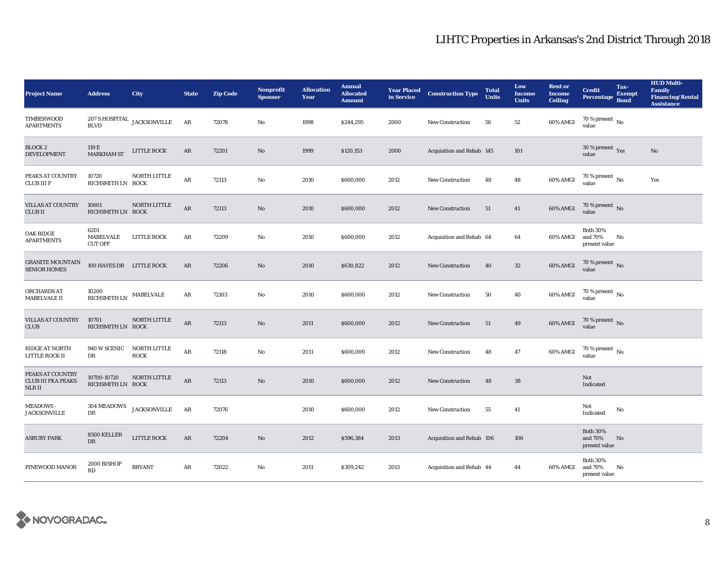| <b>Project Name</b>                                     | <b>Address</b>                      | City                               | <b>State</b> | <b>Zip Code</b> | <b>Nonprofit</b><br><b>Sponsor</b> | <b>Allocation</b><br>Year | <b>Annual</b><br><b>Allocated</b><br><b>Amount</b> | <b>Year Placed</b><br>in Service | <b>Construction Type</b>  | <b>Total</b><br><b>Units</b> | Low<br><b>Income</b><br><b>Units</b> | <b>Rent or</b><br><b>Income</b><br><b>Ceiling</b> | <b>Credit</b><br><b>Percentage</b>          | Tax-<br><b>Exempt</b><br><b>Bond</b> | <b>HUD Multi-</b><br><b>Family</b><br><b>Financing/Rental</b><br><b>Assistance</b> |
|---------------------------------------------------------|-------------------------------------|------------------------------------|--------------|-----------------|------------------------------------|---------------------------|----------------------------------------------------|----------------------------------|---------------------------|------------------------------|--------------------------------------|---------------------------------------------------|---------------------------------------------|--------------------------------------|------------------------------------------------------------------------------------|
| TIMBERWOOD<br><b>APARTMENTS</b>                         | <b>BLVD</b>                         | $207$ S HOSPITAL $\,$ JACKSONVILLE | AR           | 72078           | No                                 | 1998                      | \$244,295                                          | 2000                             | <b>New Construction</b>   | 56                           | 52                                   | 60% AMGI                                          | 70 % present $\,$ No $\,$<br>value          |                                      |                                                                                    |
| <b>BLOCK 2</b><br><b>DEVELOPMENT</b>                    | 119 E<br><b>MARKHAM ST</b>          | <b>LITTLE ROCK</b>                 | AR           | 72201           | No                                 | 1999                      | \$120,153                                          | 2000                             | Acquisition and Rehab 145 |                              | 101                                  |                                                   | 30 % present $\gamma_{\rm e s}$<br>value    |                                      | $\mathbf{N}\mathbf{o}$                                                             |
| PEAKS AT COUNTRY<br><b>CLUB III F</b>                   | 10720<br>RICHSMITH LN ROCK          | NORTH LITTLE                       | $\rm{AR}$    | 72113           | No                                 | 2010                      | \$600,000                                          | 2012                             | <b>New Construction</b>   | 48                           | 48                                   | 60% AMGI                                          | $70$ % present $\,$ No value                |                                      | Yes                                                                                |
| VILLAS AT COUNTRY<br><b>CLUBII</b>                      | 10601<br>RICHSMITH LN ROCK          | NORTH LITTLE                       | ${\bf AR}$   | 72113           | No                                 | 2010                      | \$600,000                                          | 2012                             | <b>New Construction</b>   | 51                           | 41                                   | 60% AMGI                                          | 70 % present No<br>value                    |                                      |                                                                                    |
| <b>OAK RIDGE</b><br><b>APARTMENTS</b>                   | 6201<br>MABELVALE<br><b>CUT OFF</b> | LITTLE ROCK                        | AR           | 72209           | No                                 | 2010                      | \$600,000                                          | 2012                             | Acquisition and Rehab 64  |                              | 64                                   | 60% AMGI                                          | <b>Both 30%</b><br>and 70%<br>present value | No                                   |                                                                                    |
| <b>GRANITE MOUNTAIN</b><br><b>SENIOR HOMES</b>          | 100 HAYES DR LITTLE ROCK            |                                    | AR           | 72206           | No                                 | 2010                      | \$630,822                                          | 2012                             | <b>New Construction</b>   | 40                           | $32\phantom{.0}$                     | 60% AMGI                                          | 70 % present $\,$ No $\,$<br>value          |                                      |                                                                                    |
| ORCHARDS AT<br><b>MABELVALE II</b>                      | 10200<br><b>RICHSMITH LN</b>        | MABELVALE                          | AR           | 72103           | No                                 | 2010                      | \$600,000                                          | 2012                             | <b>New Construction</b>   | 50                           | 40                                   | 60% AMGI                                          | 70 % present $\,$ No $\,$<br>value          |                                      |                                                                                    |
| <b>VILLAS AT COUNTRY</b><br>CLUB                        | 10701<br>RICHSMITH LN ROCK          | NORTH LITTLE                       | $\rm{AR}$    | 72113           | No                                 | 2011                      | \$600,000                                          | 2012                             | <b>New Construction</b>   | 51                           | 49                                   | 60% AMGI                                          | $70\,\%$ present $\,$ No value              |                                      |                                                                                    |
| <b>RIDGE AT NORTH</b><br>LITTLE ROCK II                 | 940 W SCENIC<br>DR                  | NORTH LITTLE<br><b>ROCK</b>        | $\rm{AR}$    | 72118           | $\mathbf{N}\mathbf{o}$             | 2011                      | \$600,000                                          | 2012                             | <b>New Construction</b>   | 48                           | 47                                   | 60% AMGI                                          | 70 % present $\overline{N_0}$<br>value      |                                      |                                                                                    |
| PEAKS AT COUNTRY<br><b>CLUB III FKA PEAKS</b><br>NLR II | 10700-10720<br>RICHSMITH LN ROCK    | NORTH LITTLE                       | ${\bf AR}$   | 72113           | $\mathbf{No}$                      | 2010                      | \$600,000                                          | 2012                             | <b>New Construction</b>   | 48                           | ${\bf 38}$                           |                                                   | Not<br>Indicated                            |                                      |                                                                                    |
| <b>MEADOWS-</b><br><b>JACKSONVILLE</b>                  | 304 MEADOWS<br>DR                   | <b>JACKSONVILLE</b>                | AR           | 72076           |                                    | 2010                      | \$600,000                                          | 2012                             | <b>New Construction</b>   | 55                           | 41                                   |                                                   | Not<br>Indicated                            | No                                   |                                                                                    |
| <b>ASBURY PARK</b>                                      | 8500 KELLER<br>DR                   | <b>LITTLE ROCK</b>                 | AR           | 72204           | No                                 | 2012                      | \$596,384                                          | 2013                             | Acquisition and Rehab 106 |                              | 106                                  |                                                   | <b>Both 30%</b><br>and 70%<br>present value | No                                   |                                                                                    |
| PINEWOOD MANOR                                          | 2000 BISHOP<br>RD                   | <b>BRYANT</b>                      | AR           | 72022           | $\mathbf{No}$                      | 2011                      | \$309,242                                          | 2013                             | Acquisition and Rehab 44  |                              | 44                                   | 60% AMGI                                          | <b>Both 30%</b><br>and 70%<br>present value | No                                   |                                                                                    |

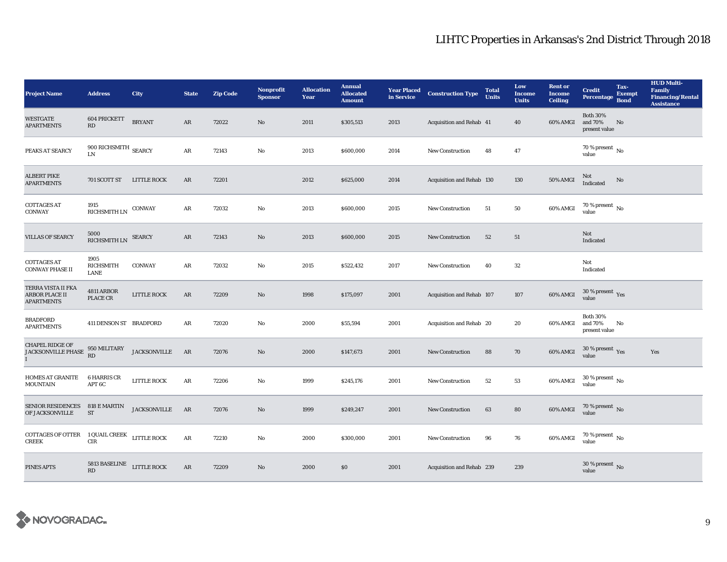| <b>Project Name</b>                                          | <b>Address</b>                                 | City                | <b>State</b>  | <b>Zip Code</b> | <b>Nonprofit</b><br><b>Sponsor</b> | <b>Allocation</b><br>Year | <b>Annual</b><br><b>Allocated</b><br><b>Amount</b> |      | <b>Year Placed Construction Type</b><br>in Service | <b>Total</b><br><b>Units</b> | Low<br><b>Income</b><br><b>Units</b> | <b>Rent or</b><br><b>Income</b><br><b>Ceiling</b> | <b>Credit</b><br><b>Percentage</b>          | Tax-<br><b>Exempt</b><br><b>Bond</b> | <b>HUD Multi-</b><br>Family<br><b>Financing/Rental</b><br><b>Assistance</b> |
|--------------------------------------------------------------|------------------------------------------------|---------------------|---------------|-----------------|------------------------------------|---------------------------|----------------------------------------------------|------|----------------------------------------------------|------------------------------|--------------------------------------|---------------------------------------------------|---------------------------------------------|--------------------------------------|-----------------------------------------------------------------------------|
| <b>WESTGATE</b><br><b>APARTMENTS</b>                         | 604 PRICKETT<br>$\mathbf{R}\mathbf{D}$         | <b>BRYANT</b>       | AR            | 72022           | $\mathbf{No}$                      | 2011                      | \$305,513                                          | 2013 | Acquisition and Rehab 41                           |                              | 40                                   | 60% AMGI                                          | <b>Both 30%</b><br>and 70%<br>present value | No                                   |                                                                             |
| PEAKS AT SEARCY                                              | 900 RICHSMITH $_{\rm SEARCY}$<br>$\text{LN}{}$ |                     | $\rm{AR}$     | 72143           | No                                 | 2013                      | \$600,000                                          | 2014 | New Construction                                   | 48                           | 47                                   |                                                   | 70 % present $\overline{N_0}$<br>value      |                                      |                                                                             |
| <b>ALBERT PIKE</b><br><b>APARTMENTS</b>                      | 701 SCOTT ST                                   | <b>LITTLE ROCK</b>  | AR            | 72201           |                                    | 2012                      | \$625,000                                          | 2014 | Acquisition and Rehab 130                          |                              | 130                                  | <b>50% AMGI</b>                                   | Not<br>Indicated                            | No                                   |                                                                             |
| <b>COTTAGES AT</b><br><b>CONWAY</b>                          | 1915<br>RICHSMITH LN CONWAY                    |                     | ${\bf AR}$    | 72032           | $\rm No$                           | 2013                      | \$600,000                                          | 2015 | New Construction                                   | 51                           | 50                                   | 60% AMGI                                          | 70 % present $\,$ No $\,$<br>value          |                                      |                                                                             |
| <b>VILLAS OF SEARCY</b>                                      | 5000<br>RICHSMITH LN SEARCY                    |                     | $\mathbf{AR}$ | 72143           | $\mathbf{N}\mathbf{o}$             | 2013                      | \$600,000                                          | 2015 | New Construction                                   | 52                           | 51                                   |                                                   | Not<br>Indicated                            |                                      |                                                                             |
| <b>COTTAGES AT</b><br><b>CONWAY PHASE II</b>                 | 1905<br><b>RICHSMITH</b><br><b>LANE</b>        | <b>CONWAY</b>       | AR            | 72032           | No                                 | 2015                      | \$522,432                                          | 2017 | <b>New Construction</b>                            | 40                           | 32                                   |                                                   | Not<br>Indicated                            |                                      |                                                                             |
| TERRA VISTA II FKA<br>ARBOR PLACE II<br><b>APARTMENTS</b>    | 4811 ARBOR<br>PLACE CR                         | LITTLE ROCK         | AR            | 72209           | $\mathbf{N}\mathbf{o}$             | 1998                      | \$175,097                                          | 2001 | Acquisition and Rehab 107                          |                              | 107                                  | 60% AMGI                                          | $30\,\%$ present $\,$ $\rm Yes$<br>value    |                                      |                                                                             |
| <b>BRADFORD</b><br><b>APARTMENTS</b>                         | 411 DENSON ST BRADFORD                         |                     | AR            | 72020           | No                                 | 2000                      | \$55,594                                           | 2001 | Acquisition and Rehab 20                           |                              | 20                                   | 60% AMGI                                          | <b>Both 30%</b><br>and 70%<br>present value | No                                   |                                                                             |
| <b>CHAPEL RIDGE OF</b><br>JACKSONVILLE PHASE<br>$\mathbf{I}$ | $950\rm~MLITARY$<br>RD                         | <b>JACKSONVILLE</b> | AR            | 72076           | $\mathbf{N}\mathbf{o}$             | 2000                      | \$147,673                                          | 2001 | New Construction                                   | 88                           | 70                                   | 60% AMGI                                          | $30\,\%$ present $\,$ Yes value             |                                      | Yes                                                                         |
| HOMES AT GRANITE<br><b>MOUNTAIN</b>                          | <b>6 HARRIS CR</b><br>APT 6C                   | <b>LITTLE ROCK</b>  | AR            | 72206           | No                                 | 1999                      | \$245,176                                          | 2001 | <b>New Construction</b>                            | 52                           | ${\bf 53}$                           | 60% AMGI                                          | $30\,\%$ present $\,$ No value              |                                      |                                                                             |
| <b>SENIOR RESIDENCES</b><br>OF JACKSONVILLE                  | 818 E MARTIN<br>ST                             | <b>JACKSONVILLE</b> | AR            | 72076           | $\mathbf{N}\mathbf{o}$             | 1999                      | \$249,247                                          | 2001 | New Construction                                   | 63                           | 80                                   | 60% AMGI                                          | $70$ % present $\,$ No $\,$ value           |                                      |                                                                             |
| COTTAGES OF OTTER 1 QUAIL CREEK LITTLE ROCK<br><b>CREEK</b>  | CIR                                            |                     | ${\bf AR}$    | 72210           | $\mathbf{No}$                      | 2000                      | \$300,000                                          | 2001 | New Construction                                   | 96                           | 76                                   | 60% AMGI                                          | $70\,\%$ present $\,$ No value              |                                      |                                                                             |
| PINES APTS                                                   | 5813 BASELINE<br><b>RD</b>                     | <b>LITTLE ROCK</b>  | $\mathbf{AR}$ | 72209           | No                                 | 2000                      | \$0                                                | 2001 | Acquisition and Rehab 239                          |                              | 239                                  |                                                   | $30\,\%$ present $\,$ No value              |                                      |                                                                             |

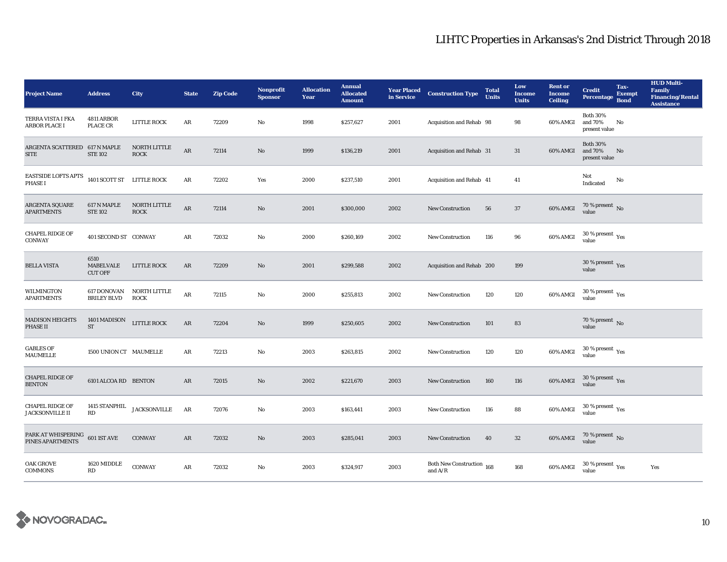| <b>Project Name</b>                                | <b>Address</b>                      | City                                | <b>State</b>  | <b>Zip Code</b> | <b>Nonprofit</b><br><b>Sponsor</b> | <b>Allocation</b><br>Year | <b>Annual</b><br><b>Allocated</b><br><b>Amount</b> | in Service | <b>Year Placed Construction Type</b>   | <b>Total</b><br><b>Units</b> | Low<br><b>Income</b><br><b>Units</b> | <b>Rent</b> or<br>Income<br><b>Ceiling</b> | <b>Credit</b><br><b>Percentage</b>                        | Tax-<br><b>Exempt</b><br><b>Bond</b> | <b>HUD Multi-</b><br>Family<br><b>Financing/Rental</b><br><b>Assistance</b> |
|----------------------------------------------------|-------------------------------------|-------------------------------------|---------------|-----------------|------------------------------------|---------------------------|----------------------------------------------------|------------|----------------------------------------|------------------------------|--------------------------------------|--------------------------------------------|-----------------------------------------------------------|--------------------------------------|-----------------------------------------------------------------------------|
| TERRA VISTA I FKA<br><b>ARBOR PLACE I</b>          | <b>4811 ARBOR</b><br>PLACE CR       | LITTLE ROCK                         | AR            | 72209           | No                                 | 1998                      | \$257,627                                          | 2001       | Acquisition and Rehab 98               |                              | 98                                   | 60% AMGI                                   | <b>Both 30%</b><br>and 70%<br>present value               | No                                   |                                                                             |
| ARGENTA SCATTERED 617 N MAPLE<br><b>SITE</b>       | <b>STE 102</b>                      | NORTH LITTLE<br><b>ROCK</b>         | $\rm{AR}$     | 72114           | $\mathbf{N}\mathbf{o}$             | 1999                      | \$136,219                                          | 2001       | Acquisition and Rehab 31               |                              | 31                                   | 60% AMGI                                   | <b>Both 30%</b><br>and 70%<br>present value               | No                                   |                                                                             |
| EASTSIDE LOFTS APTS<br><b>PHASE I</b>              | 1401 SCOTT ST LITTLE ROCK           |                                     | ${\bf AR}$    | 72202           | Yes                                | 2000                      | \$237,510                                          | 2001       | Acquisition and Rehab 41               |                              | 41                                   |                                            | Not<br>Indicated                                          | No                                   |                                                                             |
| <b>ARGENTA SQUARE</b><br><b>APARTMENTS</b>         | 617 N MAPLE<br><b>STE 102</b>       | NORTH LITTLE<br><b>ROCK</b>         | $\rm AR$      | 72114           | $\rm No$                           | 2001                      | \$300,000                                          | 2002       | New Construction                       | 56                           | $37\,$                               | 60% AMGI                                   | 70 % present $\,$ No $\,$<br>value                        |                                      |                                                                             |
| <b>CHAPEL RIDGE OF</b><br><b>CONWAY</b>            | 401 SECOND ST CONWAY                |                                     | AR            | 72032           | $\mathbf{N}\mathbf{o}$             | 2000                      | \$260,169                                          | 2002       | New Construction                       | 116                          | 96                                   | 60% AMGI                                   | $30\,\%$ present $\rm\thinspace\gamma_{\rm e s}$<br>value |                                      |                                                                             |
| <b>BELLA VISTA</b>                                 | 6510<br>MABELVALE<br><b>CUT OFF</b> | <b>LITTLE ROCK</b>                  | AR            | 72209           | No                                 | 2001                      | \$299,588                                          | 2002       | Acquisition and Rehab 200              |                              | 199                                  |                                            | $30\,\%$ present $\,$ $\rm Yes$<br>value                  |                                      |                                                                             |
| WILMINGTON<br><b>APARTMENTS</b>                    | 617 DONOVAN<br><b>BRILEY BLVD</b>   | NORTH LITTLE<br><b>ROCK</b>         | AR            | 72115           | No                                 | 2000                      | \$255,813                                          | 2002       | <b>New Construction</b>                | 120                          | 120                                  | 60% AMGI                                   | $30$ % present $\,$ $\rm Yes$<br>value                    |                                      |                                                                             |
| <b>MADISON HEIGHTS</b><br><b>PHASE II</b>          | 1401 MADISON<br>$\operatorname{ST}$ | LITTLE ROCK                         | AR            | 72204           | $\rm No$                           | 1999                      | \$250,605                                          | 2002       | <b>New Construction</b>                | 101                          | 83                                   |                                            | 70 % present $\,$ No $\,$<br>value                        |                                      |                                                                             |
| <b>GABLES OF</b><br>MAUMELLE                       | 1500 UNION CT MAUMELLE              |                                     | AR            | 72213           | No                                 | 2003                      | \$263,815                                          | 2002       | New Construction                       | 120                          | 120                                  | 60% AMGI                                   | $30\,\%$ present $\,$ $\rm Yes$<br>value                  |                                      |                                                                             |
| <b>CHAPEL RIDGE OF</b><br><b>BENTON</b>            | 6101 ALCOA RD BENTON                |                                     | $\mathbf{AR}$ | 72015           | $\rm No$                           | 2002                      | \$221,670                                          | 2003       | <b>New Construction</b>                | 160                          | 116                                  | 60% AMGI                                   | $30\,\%$ present $\,$ Yes value                           |                                      |                                                                             |
| <b>CHAPEL RIDGE OF</b><br><b>JACKSONVILLE II</b>   | RD                                  | 1415 STANPHIL $_{\rm JACKSONVILLE}$ | AR            | 72076           | No                                 | 2003                      | \$163,441                                          | 2003       | New Construction                       | 116                          | 88                                   | 60% AMGI                                   | $30\,\%$ present $\,$ $\rm Yes$<br>value                  |                                      |                                                                             |
| PARK AT WHISPERING 601 IST AVE<br>PINES APARTMENTS |                                     | <b>CONWAY</b>                       | AR            | 72032           | $\rm No$                           | 2003                      | \$285,041                                          | 2003       | <b>New Construction</b>                | 40                           | $32\,$                               | 60% AMGI                                   | $70\,\%$ present $\,$ No value                            |                                      |                                                                             |
| <b>OAK GROVE</b><br><b>COMMONS</b>                 | 1620 MIDDLE<br>RD                   | <b>CONWAY</b>                       | AR            | 72032           | $\mathbf{No}$                      | 2003                      | \$324,917                                          | 2003       | Both New Construction 168<br>and $A/R$ |                              | 168                                  | 60% AMGI                                   | $30\,\%$ present $\,$ $\rm Yes$<br>value                  |                                      | Yes                                                                         |

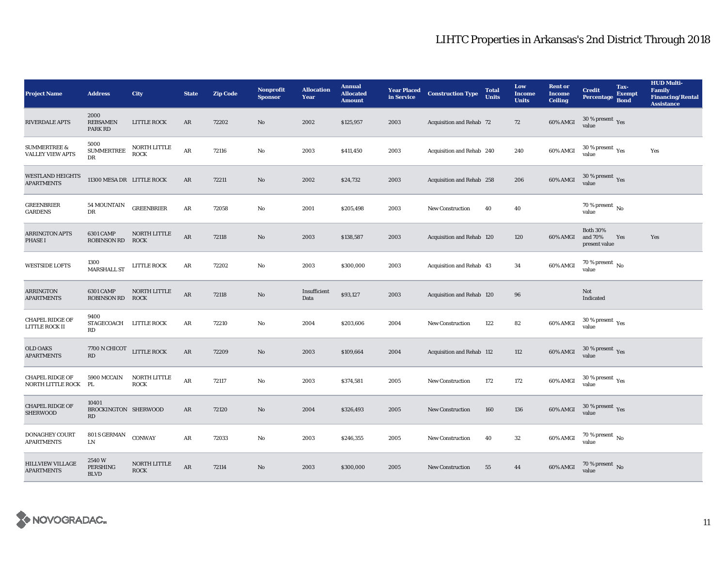| <b>Project Name</b>                                | <b>Address</b>                              | City                        | <b>State</b> | <b>Zip Code</b> | <b>Nonprofit</b><br><b>Sponsor</b> | <b>Allocation</b><br>Year | <b>Annual</b><br><b>Allocated</b><br><b>Amount</b> | <b>Year Placed</b><br>in Service | <b>Construction Type</b>        | <b>Total</b><br><b>Units</b> | Low<br><b>Income</b><br><b>Units</b> | <b>Rent or</b><br><b>Income</b><br><b>Ceiling</b> | <b>Credit</b><br><b>Percentage</b>            | Tax-<br><b>Exempt</b><br><b>Bond</b> | <b>HUD Multi-</b><br><b>Family</b><br><b>Financing/Rental</b><br><b>Assistance</b> |
|----------------------------------------------------|---------------------------------------------|-----------------------------|--------------|-----------------|------------------------------------|---------------------------|----------------------------------------------------|----------------------------------|---------------------------------|------------------------------|--------------------------------------|---------------------------------------------------|-----------------------------------------------|--------------------------------------|------------------------------------------------------------------------------------|
| <b>RIVERDALE APTS</b>                              | 2000<br><b>REBSAMEN</b><br><b>PARK RD</b>   | LITTLE ROCK                 | AR           | 72202           | No                                 | 2002                      | \$125,957                                          | 2003                             | Acquisition and Rehab 72        |                              | 72                                   | 60% AMGI                                          | $30$ % present $\,$ $\rm Yes$<br>value        |                                      |                                                                                    |
| <b>SUMMERTREE &amp;</b><br><b>VALLEY VIEW APTS</b> | 5000<br>${\large\bf SUMMERTREE}$<br>DR      | NORTH LITTLE<br><b>ROCK</b> | $\rm{AR}$    | 72116           | $\rm No$                           | 2003                      | \$411,450                                          | 2003                             | Acquisition and Rehab 240       |                              | 240                                  | 60% AMGI                                          | $30\,\%$ present $\,$ Yes value               |                                      | Yes                                                                                |
| <b>WESTLAND HEIGHTS</b><br><b>APARTMENTS</b>       | 11300 MESA DR LITTLE ROCK                   |                             | AR           | 72211           | $\mathbf{N}\mathbf{o}$             | 2002                      | \$24,732                                           | 2003                             | Acquisition and Rehab 258       |                              | 206                                  | 60% AMGI                                          | $30\,\%$ present $\,$ $_{\rm Yes}$<br>value   |                                      |                                                                                    |
| <b>GREENBRIER</b><br><b>GARDENS</b>                | <b>54 MOUNTAIN</b><br>DR                    | <b>GREENBRIER</b>           | AR           | 72058           | No                                 | 2001                      | \$205,498                                          | 2003                             | New Construction                | 40                           | 40                                   |                                                   | 70 % present $\,$ No $\,$<br>value            |                                      |                                                                                    |
| <b>ARRINGTON APTS</b><br><b>PHASE I</b>            | 6301 CAMP<br><b>ROBINSON RD</b>             | NORTH LITTLE<br><b>ROCK</b> | AR           | 72118           | No                                 | 2003                      | \$138,587                                          | 2003                             | Acquisition and Rehab 120       |                              | 120                                  | 60% AMGI                                          | <b>Both 30%</b><br>and 70%<br>present value   | Yes                                  | Yes                                                                                |
| <b>WESTSIDE LOFTS</b>                              | 1300<br><b>MARSHALL ST</b>                  | <b>LITTLE ROCK</b>          | $\rm{AR}$    | 72202           | No                                 | 2003                      | \$300,000                                          | 2003                             | <b>Acquisition and Rehab 43</b> |                              | 34                                   | 60% AMGI                                          | $70$ % present $\,$ No value                  |                                      |                                                                                    |
| <b>ARRINGTON</b><br><b>APARTMENTS</b>              | <b>6301 CAMP</b><br><b>ROBINSON RD ROCK</b> | NORTH LITTLE                | $\rm{AR}$    | 72118           | No                                 | Insufficient<br>Data      | \$93,127                                           | 2003                             | Acquisition and Rehab 120       |                              | 96                                   |                                                   | Not<br>Indicated                              |                                      |                                                                                    |
| <b>CHAPEL RIDGE OF</b><br>LITTLE ROCK II           | 9400<br>STAGECOACH LITTLE ROCK<br>RD        |                             | AR           | 72210           | No                                 | 2004                      | \$203,606                                          | 2004                             | <b>New Construction</b>         | 122                          | 82                                   | 60% AMGI                                          | 30 % present $\rm\,Yes$<br>value              |                                      |                                                                                    |
| <b>OLD OAKS</b><br><b>APARTMENTS</b>               | 7700 N CHICOT<br>RD                         | ${\rm LITILE}$ ROCK         | $\rm{AR}$    | 72209           | $\mathbf{No}$                      | 2003                      | \$109,664                                          | 2004                             | Acquisition and Rehab 112       |                              | 112                                  | 60% AMGI                                          | 30 % present $\gamma_{\rm{es}}$<br>value      |                                      |                                                                                    |
| <b>CHAPEL RIDGE OF</b><br>NORTH LITTLE ROCK        | 5900 MCCAIN<br>PL                           | NORTH LITTLE<br><b>ROCK</b> | $\rm{AR}$    | 72117           | $\rm No$                           | 2003                      | \$374,581                                          | 2005                             | New Construction                | 172                          | 172                                  | 60% AMGI                                          | $30$ % present $\rm \gamma_{\rm PS}$<br>value |                                      |                                                                                    |
| <b>CHAPEL RIDGE OF</b><br><b>SHERWOOD</b>          | 10401<br>BROCKINGTON SHERWOOD<br>RD         |                             | AR           | 72120           | $\mathbf{No}$                      | 2004                      | \$326,493                                          | 2005                             | New Construction                | 160                          | 136                                  | 60% AMGI                                          | $30\,\%$ present $\,\mathrm{Yes}$ value       |                                      |                                                                                    |
| <b>DONAGHEY COURT</b><br><b>APARTMENTS</b>         | 801 S GERMAN<br>LN                          | CONWAY                      | AR           | 72033           | No                                 | 2003                      | \$246,355                                          | 2005                             | New Construction                | 40                           | $32\,$                               | 60% AMGI                                          | $70$ % present $\,$ No $\,$<br>value          |                                      |                                                                                    |
| <b>HILLVIEW VILLAGE</b><br><b>APARTMENTS</b>       | 2540W<br>PERSHING<br><b>BLVD</b>            | NORTH LITTLE<br><b>ROCK</b> | AR           | 72114           | No                                 | 2003                      | \$300,000                                          | 2005                             | <b>New Construction</b>         | 55                           | 44                                   | 60% AMGI                                          | 70 % present $\,$ No $\,$<br>value            |                                      |                                                                                    |